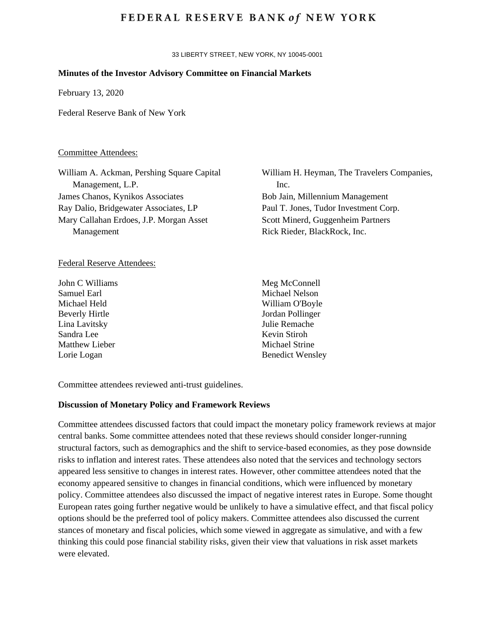## **FEDERAL RESERVE BANK of NEW YORK**

33 LIBERTY STREET, NEW YORK, NY 10045-0001

## **Minutes of the Investor Advisory Committee on Financial Markets**

February 13, 2020

Federal Reserve Bank of New York

#### Committee Attendees:

William A. Ackman, Pershing Square Capital Management, L.P. James Chanos, Kynikos Associates Ray Dalio, Bridgewater Associates, LP Mary Callahan Erdoes, J.P. Morgan Asset Management

#### Federal Reserve Attendees:

John C Williams Samuel Earl Michael Held Beverly Hirtle Lina Lavitsky Sandra Lee Matthew Lieber Lorie Logan

William H. Heyman, The Travelers Companies, Inc. Bob Jain, Millennium Management Paul T. Jones, Tudor Investment Corp. Scott Minerd, Guggenheim Partners Rick Rieder, BlackRock, Inc.

Meg McConnell Michael Nelson William O'Boyle Jordan Pollinger Julie Remache Kevin Stiroh Michael Strine Benedict Wensley

Committee attendees reviewed anti-trust guidelines.

## **Discussion of Monetary Policy and Framework Reviews**

Committee attendees discussed factors that could impact the monetary policy framework reviews at major central banks. Some committee attendees noted that these reviews should consider longer-running structural factors, such as demographics and the shift to service-based economies, as they pose downside risks to inflation and interest rates. These attendees also noted that the services and technology sectors appeared less sensitive to changes in interest rates. However, other committee attendees noted that the economy appeared sensitive to changes in financial conditions, which were influenced by monetary policy. Committee attendees also discussed the impact of negative interest rates in Europe. Some thought European rates going further negative would be unlikely to have a simulative effect, and that fiscal policy options should be the preferred tool of policy makers. Committee attendees also discussed the current stances of monetary and fiscal policies, which some viewed in aggregate as simulative, and with a few thinking this could pose financial stability risks, given their view that valuations in risk asset markets were elevated